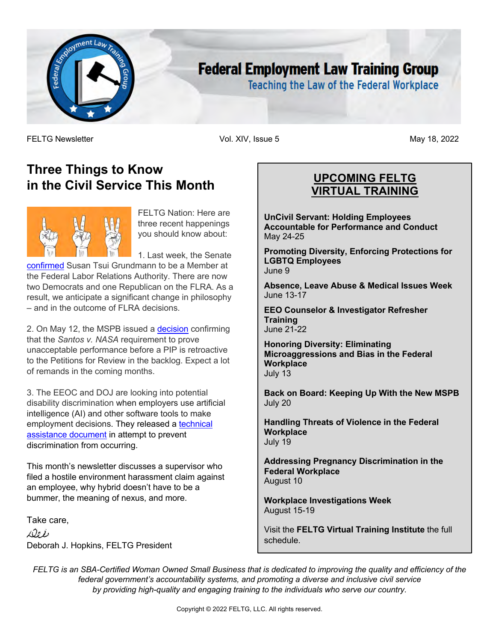

# **Federal Employment Law Training Group**

**Teaching the Law of the Federal Workplace** 

FELTG Newsletter Vol. XIV, Issue 5 May 18, 2022

## **Three Things to Know in the Civil Service This Month**



FELTG Nation: Here are three recent happenings you should know about:

1. Last week, the Senate

confirmed Susan Tsui Grundmann to be a Member at the Federal Labor Relations Authority. There are now two Democrats and one Republican on the FLRA. As a result, we anticipate a significant change in philosophy – and in the outcome of FLRA decisions.

2. On May 12, the MSPB issued a decision confirming that the *Santos v. NASA* requirement to prove unacceptable performance before a PIP is retroactive to the Petitions for Review in the backlog. Expect a lot of remands in the coming months.

3. The EEOC and DOJ are looking into potential disability discrimination when employers use artificial intelligence (AI) and other software tools to make employment decisions. They released a technical assistance document in attempt to prevent discrimination from occurring.

This month's newsletter discusses a supervisor who filed a hostile environment harassment claim against an employee, why hybrid doesn't have to be a bummer, the meaning of nexus, and more.

Take care,

 $1001$ Deborah J. Hopkins, FELTG President

## **UPCOMING FELTG VIRTUAL TRAINING**

**UnCivil Servant: Holding Employees Accountable for Performance and Conduct** May 24-25

**Promoting Diversity, Enforcing Protections for LGBTQ Employees** June 9

**Absence, Leave Abuse & Medical Issues Week** June 13-17

**EEO Counselor & Investigator Refresher Training** June 21-22

**Honoring Diversity: Eliminating Microaggressions and Bias in the Federal Workplace** July 13

**Back on Board: Keeping Up With the New MSPB** July 20

**Handling Threats of Violence in the Federal Workplace** July 19

**Addressing Pregnancy Discrimination in the Federal Workplace** August 10

**Workplace Investigations Week** August 15-19

Visit the **FELTG Virtual Training Institute** the full schedule.

*FELTG is an SBA-Certified Woman Owned Small Business that is dedicated to improving the quality and efficiency of the federal government's accountability systems, and promoting a diverse and inclusive civil service by providing high-quality and engaging training to the individuals who serve our country.*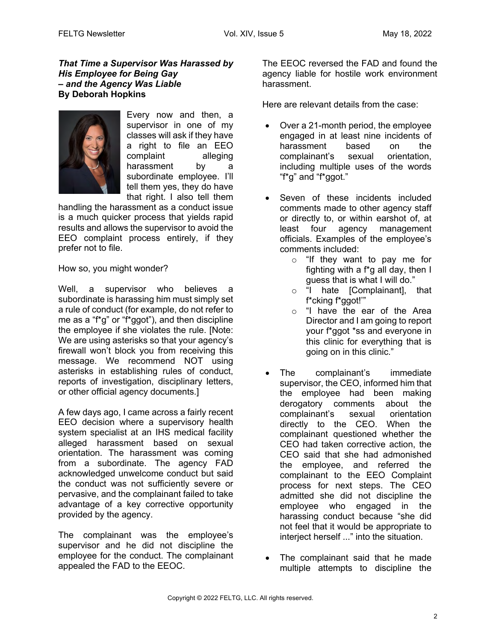#### *That Time a Supervisor Was Harassed by His Employee for Being Gay – and the Agency Was Liable* **By Deborah Hopkins**



Every now and then, a supervisor in one of my classes will ask if they have a right to file an EEO complaint alleging harassment by a subordinate employee. I'll tell them yes, they do have that right. I also tell them

handling the harassment as a conduct issue is a much quicker process that yields rapid results and allows the supervisor to avoid the EEO complaint process entirely, if they prefer not to file.

How so, you might wonder?

Well, a supervisor who believes a subordinate is harassing him must simply set a rule of conduct (for example, do not refer to me as a "f\*g" or "f\*ggot"), and then discipline the employee if she violates the rule. [Note: We are using asterisks so that your agency's firewall won't block you from receiving this message. We recommend NOT using asterisks in establishing rules of conduct, reports of investigation, disciplinary letters, or other official agency documents.]

A few days ago, I came across a fairly recent EEO decision where a supervisory health system specialist at an IHS medical facility alleged harassment based on sexual orientation. The harassment was coming from a subordinate. The agency FAD acknowledged unwelcome conduct but said the conduct was not sufficiently severe or pervasive, and the complainant failed to take advantage of a key corrective opportunity provided by the agency.

The complainant was the employee's supervisor and he did not discipline the employee for the conduct. The complainant appealed the FAD to the EEOC.

The EEOC reversed the FAD and found the agency liable for hostile work environment harassment.

Here are relevant details from the case:

- Over a 21-month period, the employee engaged in at least nine incidents of harassment based on the complainant's sexual orientation, including multiple uses of the words "f\*g" and "f\*ggot."
- Seven of these incidents included comments made to other agency staff or directly to, or within earshot of, at least four agency management officials. Examples of the employee's comments included:
	- o "If they want to pay me for fighting with a f\*g all day, then I guess that is what I will do."
	- o "I hate [Complainant], that f\*cking f\*ggot!'"
	- o "I have the ear of the Area Director and I am going to report your f\*ggot \*ss and everyone in this clinic for everything that is going on in this clinic."
- The complainant's immediate supervisor, the CEO, informed him that the employee had been making derogatory comments about the complainant's sexual orientation directly to the CEO. When the complainant questioned whether the CEO had taken corrective action, the CEO said that she had admonished the employee, and referred the complainant to the EEO Complaint process for next steps. The CEO admitted she did not discipline the employee who engaged in the harassing conduct because "she did not feel that it would be appropriate to interject herself ..." into the situation.
- The complainant said that he made multiple attempts to discipline the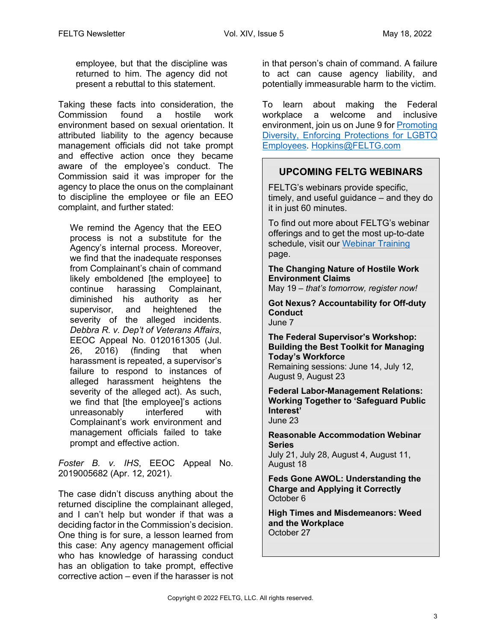employee, but that the discipline was returned to him. The agency did not present a rebuttal to this statement.

Taking these facts into consideration, the Commission found a hostile work environment based on sexual orientation. It attributed liability to the agency because management officials did not take prompt and effective action once they became aware of the employee's conduct. The Commission said it was improper for the agency to place the onus on the complainant to discipline the employee or file an EEO complaint, and further stated:

We remind the Agency that the EEO process is not a substitute for the Agency's internal process. Moreover, we find that the inadequate responses from Complainant's chain of command likely emboldened [the employee] to continue harassing Complainant, diminished his authority as her supervisor, and heightened the severity of the alleged incidents. *Debbra R. v. Dep't of Veterans Affairs*, EEOC Appeal No. 0120161305 (Jul. 26, 2016) (finding that when harassment is repeated, a supervisor's failure to respond to instances of alleged harassment heightens the severity of the alleged act). As such, we find that [the employee]'s actions unreasonably interfered with Complainant's work environment and management officials failed to take prompt and effective action.

*Foster B. v. IHS*, EEOC Appeal No. 2019005682 (Apr. 12, 2021).

The case didn't discuss anything about the returned discipline the complainant alleged, and I can't help but wonder if that was a deciding factor in the Commission's decision. One thing is for sure, a lesson learned from this case: Any agency management official who has knowledge of harassing conduct has an obligation to take prompt, effective corrective action – even if the harasser is not

in that person's chain of command. A failure to act can cause agency liability, and potentially immeasurable harm to the victim.

To learn about making the Federal workplace a welcome and inclusive environment, join us on June 9 for Promoting Diversity, Enforcing Protections for LGBTQ Employees. Hopkins@FELTG.com

## **UPCOMING FELTG WEBINARS**

FELTG's webinars provide specific, timely, and useful guidance – and they do it in just 60 minutes.

To find out more about FELTG's webinar offerings and to get the most up-to-date schedule, visit our Webinar Training page.

**The Changing Nature of Hostile Work Environment Claims**

May 19 – *that's tomorrow, register now!* 

**Got Nexus? Accountability for Off-duty Conduct** June 7

**The Federal Supervisor's Workshop: Building the Best Toolkit for Managing Today's Workforce** Remaining sessions: June 14, July 12,

August 9, August 23

**Federal Labor-Management Relations: Working Together to 'Safeguard Public Interest'** June 23

**Reasonable Accommodation Webinar Series**

July 21, July 28, August 4, August 11, August 18

**Feds Gone AWOL: Understanding the Charge and Applying it Correctly** October 6

**High Times and Misdemeanors: Weed and the Workplace** October 27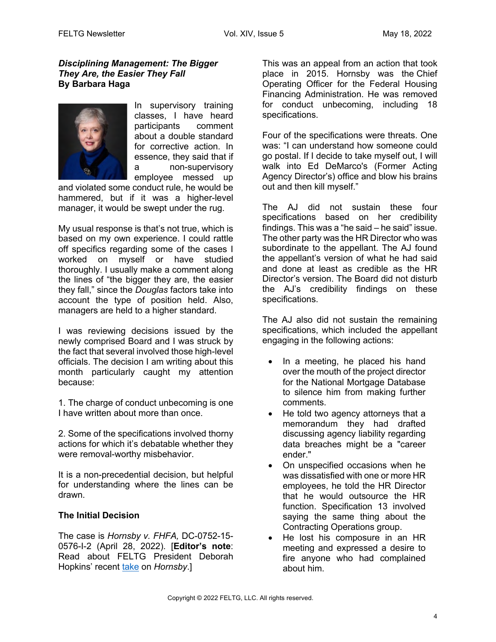#### *Disciplining Management: The Bigger They Are, the Easier They Fall*  **By Barbara Haga**



In supervisory training classes, I have heard participants comment about a double standard for corrective action. In essence, they said that if a non-supervisory employee messed up

and violated some conduct rule, he would be hammered, but if it was a higher-level manager, it would be swept under the rug.

My usual response is that's not true, which is based on my own experience. I could rattle off specifics regarding some of the cases I worked on myself or have studied thoroughly. I usually make a comment along the lines of "the bigger they are, the easier they fall," since the *Douglas* factors take into account the type of position held. Also, managers are held to a higher standard.

I was reviewing decisions issued by the newly comprised Board and I was struck by the fact that several involved those high-level officials. The decision I am writing about this month particularly caught my attention because:

1. The charge of conduct unbecoming is one I have written about more than once.

2. Some of the specifications involved thorny actions for which it's debatable whether they were removal-worthy misbehavior.

It is a non-precedential decision, but helpful for understanding where the lines can be drawn.

#### **The Initial Decision**

The case is *Hornsby v. FHFA,* DC-0752-15- 0576-I-2 (April 28, 2022). [**Editor's note**: Read about FELTG President Deborah Hopkins' recent take on *Hornsby*.]

This was an appeal from an action that took place in 2015. Hornsby was the Chief Operating Officer for the Federal Housing Financing Administration. He was removed for conduct unbecoming, including 18 specifications.

Four of the specifications were threats. One was: "I can understand how someone could go postal. If I decide to take myself out, I will walk into Ed DeMarco's (Former Acting Agency Director's) office and blow his brains out and then kill myself."

The AJ did not sustain these four specifications based on her credibility findings. This was a "he said – he said" issue. The other party was the HR Director who was subordinate to the appellant. The AJ found the appellant's version of what he had said and done at least as credible as the HR Director's version. The Board did not disturb the AJ's credibility findings on these specifications.

The AJ also did not sustain the remaining specifications, which included the appellant engaging in the following actions:

- In a meeting, he placed his hand over the mouth of the project director for the National Mortgage Database to silence him from making further comments.
- He told two agency attorneys that a memorandum they had drafted discussing agency liability regarding data breaches might be a "career ender."
- On unspecified occasions when he was dissatisfied with one or more HR employees, he told the HR Director that he would outsource the HR function. Specification 13 involved saying the same thing about the Contracting Operations group.
- He lost his composure in an HR meeting and expressed a desire to fire anyone who had complained about him.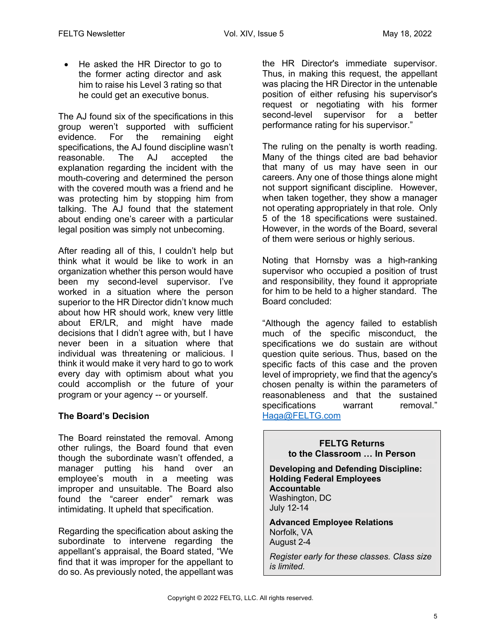• He asked the HR Director to go to the former acting director and ask him to raise his Level 3 rating so that he could get an executive bonus.

The AJ found six of the specifications in this group weren't supported with sufficient evidence. For the remaining eight specifications, the AJ found discipline wasn't reasonable. The AJ accepted the explanation regarding the incident with the mouth-covering and determined the person with the covered mouth was a friend and he was protecting him by stopping him from talking. The AJ found that the statement about ending one's career with a particular legal position was simply not unbecoming.

After reading all of this, I couldn't help but think what it would be like to work in an organization whether this person would have been my second-level supervisor. I've worked in a situation where the person superior to the HR Director didn't know much about how HR should work, knew very little about ER/LR, and might have made decisions that I didn't agree with, but I have never been in a situation where that individual was threatening or malicious. I think it would make it very hard to go to work every day with optimism about what you could accomplish or the future of your program or your agency -- or yourself.

## **The Board's Decision**

The Board reinstated the removal. Among other rulings, the Board found that even though the subordinate wasn't offended, a manager putting his hand over an employee's mouth in a meeting was improper and unsuitable. The Board also found the "career ender" remark was intimidating. It upheld that specification.

Regarding the specification about asking the subordinate to intervene regarding the appellant's appraisal, the Board stated, "We find that it was improper for the appellant to do so. As previously noted, the appellant was

the HR Director's immediate supervisor. Thus, in making this request, the appellant was placing the HR Director in the untenable position of either refusing his supervisor's request or negotiating with his former second-level supervisor for a better performance rating for his supervisor."

The ruling on the penalty is worth reading. Many of the things cited are bad behavior that many of us may have seen in our careers. Any one of those things alone might not support significant discipline. However, when taken together, they show a manager not operating appropriately in that role. Only 5 of the 18 specifications were sustained. However, in the words of the Board, several of them were serious or highly serious.

Noting that Hornsby was a high-ranking supervisor who occupied a position of trust and responsibility, they found it appropriate for him to be held to a higher standard. The Board concluded:

"Although the agency failed to establish much of the specific misconduct, the specifications we do sustain are without question quite serious. Thus, based on the specific facts of this case and the proven level of impropriety, we find that the agency's chosen penalty is within the parameters of reasonableness and that the sustained specifications warrant removal." Haga@FELTG.com

**FELTG Returns to the Classroom … In Person Developing and Defending Discipline: Holding Federal Employees Accountable** Washington, DC July 12-14 **Advanced Employee Relations** Norfolk, VA August 2-4 *Register early for these classes. Class size is limited.*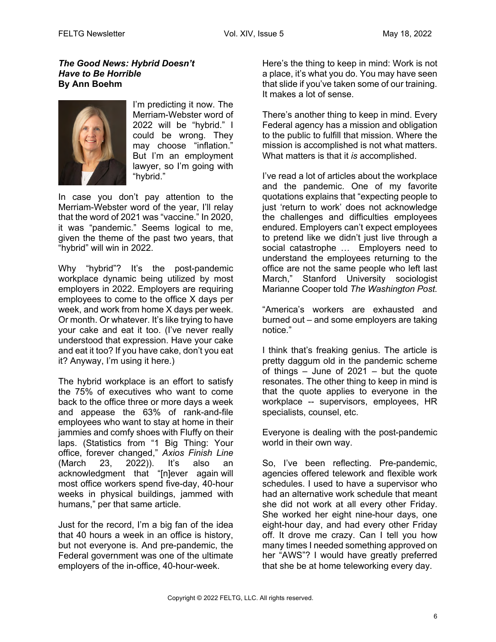#### *The Good News: Hybrid Doesn't Have to Be Horrible* **By Ann Boehm**



I'm predicting it now. The Merriam-Webster word of 2022 will be "hybrid." I could be wrong. They may choose "inflation." But I'm an employment lawyer, so I'm going with "hybrid."

In case you don't pay attention to the Merriam-Webster word of the year, I'll relay that the word of 2021 was "vaccine." In 2020, it was "pandemic." Seems logical to me, given the theme of the past two years, that "hybrid" will win in 2022.

Why "hybrid"? It's the post-pandemic workplace dynamic being utilized by most employers in 2022. Employers are requiring employees to come to the office X days per week, and work from home X days per week. Or month. Or whatever. It's like trying to have your cake and eat it too. (I've never really understood that expression. Have your cake and eat it too? If you have cake, don't you eat it? Anyway, I'm using it here.)

The hybrid workplace is an effort to satisfy the 75% of executives who want to come back to the office three or more days a week and appease the 63% of rank-and-file employees who want to stay at home in their jammies and comfy shoes with Fluffy on their laps. (Statistics from "1 Big Thing: Your office, forever changed," *Axios Finish Line* (March 23, 2022)). It's also an acknowledgment that "[n]ever again will most office workers spend five-day, 40-hour weeks in physical buildings, jammed with humans," per that same article.

Just for the record, I'm a big fan of the idea that 40 hours a week in an office is history, but not everyone is. And pre-pandemic, the Federal government was one of the ultimate employers of the in-office, 40-hour-week.

Here's the thing to keep in mind: Work is not a place, it's what you do. You may have seen that slide if you've taken some of our training. It makes a lot of sense.

There's another thing to keep in mind. Every Federal agency has a mission and obligation to the public to fulfill that mission. Where the mission is accomplished is not what matters. What matters is that it *is* accomplished.

I've read a lot of articles about the workplace and the pandemic. One of my favorite quotations explains that "expecting people to just 'return to work' does not acknowledge the challenges and difficulties employees endured. Employers can't expect employees to pretend like we didn't just live through a social catastrophe … Employers need to understand the employees returning to the office are not the same people who left last March," Stanford University sociologist Marianne Cooper told *The Washington Post.*

"America's workers are exhausted and burned out – and some employers are taking notice."

I think that's freaking genius. The article is pretty daggum old in the pandemic scheme of things  $-$  June of 2021  $-$  but the quote resonates. The other thing to keep in mind is that the quote applies to everyone in the workplace -- supervisors, employees, HR specialists, counsel, etc.

Everyone is dealing with the post-pandemic world in their own way.

So, I've been reflecting. Pre-pandemic, agencies offered telework and flexible work schedules. I used to have a supervisor who had an alternative work schedule that meant she did not work at all every other Friday. She worked her eight nine-hour days, one eight-hour day, and had every other Friday off. It drove me crazy. Can I tell you how many times I needed something approved on her "AWS"? I would have greatly preferred that she be at home teleworking every day.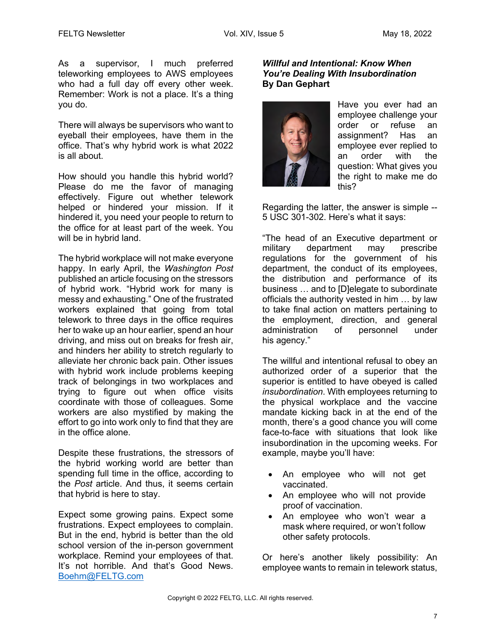As a supervisor, I much preferred teleworking employees to AWS employees who had a full day off every other week. Remember: Work is not a place. It's a thing you do.

There will always be supervisors who want to eyeball their employees, have them in the office. That's why hybrid work is what 2022 is all about.

How should you handle this hybrid world? Please do me the favor of managing effectively. Figure out whether telework helped or hindered your mission. If it hindered it, you need your people to return to the office for at least part of the week. You will be in hybrid land.

The hybrid workplace will not make everyone happy. In early April, the *Washington Post* published an article focusing on the stressors of hybrid work. "Hybrid work for many is messy and exhausting." One of the frustrated workers explained that going from total telework to three days in the office requires her to wake up an hour earlier, spend an hour driving, and miss out on breaks for fresh air, and hinders her ability to stretch regularly to alleviate her chronic back pain. Other issues with hybrid work include problems keeping track of belongings in two workplaces and trying to figure out when office visits coordinate with those of colleagues. Some workers are also mystified by making the effort to go into work only to find that they are in the office alone.

Despite these frustrations, the stressors of the hybrid working world are better than spending full time in the office, according to the *Post* article. And thus, it seems certain that hybrid is here to stay.

Expect some growing pains. Expect some frustrations. Expect employees to complain. But in the end, hybrid is better than the old school version of the in-person government workplace. Remind your employees of that. It's not horrible. And that's Good News. Boehm@FELTG.com

#### *Willful and Intentional: Know When You're Dealing With Insubordination* **By Dan Gephart**



Have you ever had an employee challenge your order or refuse an assignment? Has an employee ever replied to an order with the question: What gives you the right to make me do this?

Regarding the latter, the answer is simple -- 5 USC 301-302. Here's what it says:

"The head of an Executive department or military department may prescribe regulations for the government of his department, the conduct of its employees, the distribution and performance of its business … and to [D]elegate to subordinate officials the authority vested in him … by law to take final action on matters pertaining to the employment, direction, and general administration of personnel under his agency."

The willful and intentional refusal to obey an authorized order of a superior that the superior is entitled to have obeyed is called *insubordination*. With employees returning to the physical workplace and the vaccine mandate kicking back in at the end of the month, there's a good chance you will come face-to-face with situations that look like insubordination in the upcoming weeks. For example, maybe you'll have:

- An employee who will not get vaccinated.
- An employee who will not provide proof of vaccination.
- An employee who won't wear a mask where required, or won't follow other safety protocols.

Or here's another likely possibility: An employee wants to remain in telework status,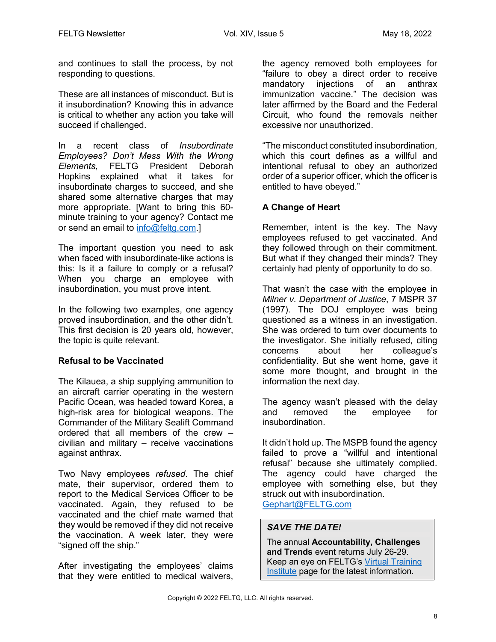and continues to stall the process, by not responding to questions.

These are all instances of misconduct. But is it insubordination? Knowing this in advance is critical to whether any action you take will succeed if challenged.

In a recent class of *Insubordinate Employees? Don't Mess With the Wrong Elements*, FELTG President Deborah Hopkins explained what it takes for insubordinate charges to succeed, and she shared some alternative charges that may more appropriate. [Want to bring this 60 minute training to your agency? Contact me or send an email to info@feltg.com.]

The important question you need to ask when faced with insubordinate-like actions is this: Is it a failure to comply or a refusal? When you charge an employee with insubordination, you must prove intent.

In the following two examples, one agency proved insubordination, and the other didn't. This first decision is 20 years old, however, the topic is quite relevant.

#### **Refusal to be Vaccinated**

The Kilauea, a ship supplying ammunition to an aircraft carrier operating in the western Pacific Ocean, was headed toward Korea, a high-risk area for biological weapons. The Commander of the Military Sealift Command ordered that all members of the crew – civilian and military – receive vaccinations against anthrax.

Two Navy employees *refused*. The chief mate, their supervisor, ordered them to report to the Medical Services Officer to be vaccinated. Again, they refused to be vaccinated and the chief mate warned that they would be removed if they did not receive the vaccination. A week later, they were "signed off the ship."

After investigating the employees' claims that they were entitled to medical waivers,

the agency removed both employees for "failure to obey a direct order to receive mandatory injections of an anthrax immunization vaccine." The decision was later affirmed by the Board and the Federal Circuit, who found the removals neither excessive nor unauthorized.

"The misconduct constituted insubordination, which this court defines as a willful and intentional refusal to obey an authorized order of a superior officer, which the officer is entitled to have obeyed."

#### **A Change of Heart**

Remember, intent is the key. The Navy employees refused to get vaccinated. And they followed through on their commitment. But what if they changed their minds? They certainly had plenty of opportunity to do so.

That wasn't the case with the employee in *Milner v. Department of Justice*, 7 MSPR 37 (1997). The DOJ employee was being questioned as a witness in an investigation. She was ordered to turn over documents to the investigator. She initially refused, citing concerns about her colleague's confidentiality. But she went home, gave it some more thought, and brought in the information the next day.

The agency wasn't pleased with the delay and removed the employee for insubordination.

It didn't hold up. The MSPB found the agency failed to prove a "willful and intentional refusal" because she ultimately complied. The agency could have charged the employee with something else, but they struck out with insubordination. Gephart@FELTG.com

## *SAVE THE DATE!*

The annual **Accountability, Challenges and Trends** event returns July 26-29. Keep an eye on FELTG's Virtual Training Institute page for the latest information.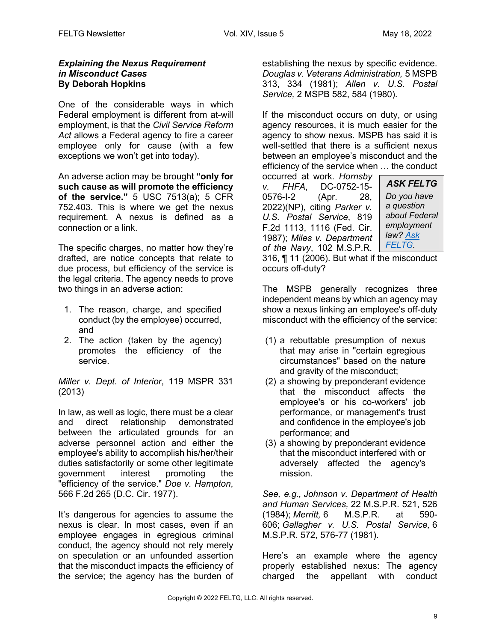#### *Explaining the Nexus Requirement in Misconduct Cases* **By Deborah Hopkins**

One of the considerable ways in which Federal employment is different from at-will employment, is that the *Civil Service Reform Act* allows a Federal agency to fire a career employee only for cause (with a few exceptions we won't get into today).

An adverse action may be brought **"only for such cause as will promote the efficiency of the service."** 5 USC 7513(a); 5 CFR 752.403. This is where we get the nexus requirement. A nexus is defined as a connection or a link.

The specific charges, no matter how they're drafted, are notice concepts that relate to due process, but efficiency of the service is the legal criteria. The agency needs to prove two things in an adverse action:

- 1. The reason, charge, and specified conduct (by the employee) occurred, and
- 2. The action (taken by the agency) promotes the efficiency of the service.

*Miller v. Dept. of Interior*, 119 MSPR 331 (2013)

In law, as well as logic, there must be a clear and direct relationship demonstrated between the articulated grounds for an adverse personnel action and either the employee's ability to accomplish his/her/their duties satisfactorily or some other legitimate government interest promoting the "efficiency of the service." *Doe v. Hampton*, 566 F.2d 265 (D.C. Cir. 1977).

It's dangerous for agencies to assume the nexus is clear. In most cases, even if an employee engages in egregious criminal conduct, the agency should not rely merely on speculation or an unfounded assertion that the misconduct impacts the efficiency of the service; the agency has the burden of

establishing the nexus by specific evidence. *Douglas v. Veterans Administration,* 5 MSPB 313, 334 (1981); *Allen v. U.S. Postal Service,* 2 MSPB 582, 584 (1980).

If the misconduct occurs on duty, or using agency resources, it is much easier for the agency to show nexus. MSPB has said it is well-settled that there is a sufficient nexus between an employee's misconduct and the efficiency of the service when … the conduct

occurred at work. *Hornsby v. FHFA*, DC-0752-15- 0576-I-2 (Apr. 28, 2022)(NP), citing *Parker v. U.S. Postal Service*, 819 F.2d 1113, 1116 (Fed. Cir. 1987); *Miles v. Department of the Navy*, 102 M.S.P.R.

*ASK FELTG Do you have a question about Federal employment law? Ask FELTG.*

316, ¶ 11 (2006). But what if the misconduct occurs off-duty?

The MSPB generally recognizes three independent means by which an agency may show a nexus linking an employee's off-duty misconduct with the efficiency of the service:

- (1) a rebuttable presumption of nexus that may arise in "certain egregious circumstances" based on the nature and gravity of the misconduct;
- (2) a showing by preponderant evidence that the misconduct affects the employee's or his co-workers' job performance, or management's trust and confidence in the employee's job performance; and
- (3) a showing by preponderant evidence that the misconduct interfered with or adversely affected the agency's mission.

*See, e.g., Johnson v. Department of Health and Human Services,* 22 M.S.P.R. 521, 526 (1984); *Merritt,* 6 M.S.P.R. at 590- 606; *Gallagher v. U.S. Postal Service,* 6 M.S.P.R. 572, 576-77 (1981).

Here's an example where the agency properly established nexus: The agency charged the appellant with conduct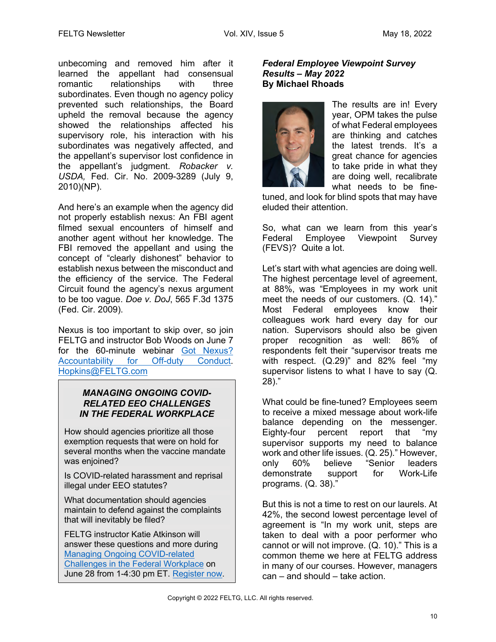unbecoming and removed him after it learned the appellant had consensual romantic relationships with three subordinates. Even though no agency policy prevented such relationships, the Board upheld the removal because the agency showed the relationships affected his supervisory role, his interaction with his subordinates was negatively affected, and the appellant's supervisor lost confidence in the appellant's judgment. *Robacker v. USDA,* Fed. Cir. No. 2009-3289 (July 9, 2010)(NP).

And here's an example when the agency did not properly establish nexus: An FBI agent filmed sexual encounters of himself and another agent without her knowledge. The FBI removed the appellant and using the concept of "clearly dishonest" behavior to establish nexus between the misconduct and the efficiency of the service. The Federal Circuit found the agency's nexus argument to be too vague. *Doe v. DoJ*, 565 F.3d 1375 (Fed. Cir. 2009).

Nexus is too important to skip over, so join FELTG and instructor Bob Woods on June 7 for the 60-minute webinar Got Nexus? Accountability for Off-duty Conduct. Hopkins@FELTG.com

#### *MANAGING ONGOING COVID-RELATED EEO CHALLENGES IN THE FEDERAL WORKPLACE*

How should agencies prioritize all those exemption requests that were on hold for several months when the vaccine mandate was enjoined?

Is COVID-related harassment and reprisal illegal under EEO statutes?

What documentation should agencies maintain to defend against the complaints that will inevitably be filed?

FELTG instructor Katie Atkinson will answer these questions and more during Managing Ongoing COVID-related Challenges in the Federal Workplace on June 28 from 1-4:30 pm ET. Register now.

#### *Federal Employee Viewpoint Survey Results – May 2022* **By Michael Rhoads**



The results are in! Every year, OPM takes the pulse of what Federal employees are thinking and catches the latest trends. It's a great chance for agencies to take pride in what they are doing well, recalibrate what needs to be fine-

tuned, and look for blind spots that may have eluded their attention.

So, what can we learn from this year's Federal Employee Viewpoint Survey (FEVS)? Quite a lot.

Let's start with what agencies are doing well. The highest percentage level of agreement, at 88%, was "Employees in my work unit meet the needs of our customers. (Q. 14)." Most Federal employees know their colleagues work hard every day for our nation. Supervisors should also be given proper recognition as well: 86% of respondents felt their "supervisor treats me with respect. (Q.29)" and 82% feel "my supervisor listens to what I have to say (Q. 28)."

What could be fine-tuned? Employees seem to receive a mixed message about work-life balance depending on the messenger. Eighty-four percent report that "my supervisor supports my need to balance work and other life issues. (Q. 25)." However, only 60% believe "Senior leaders demonstrate support for Work-Life programs. (Q. 38)."

But this is not a time to rest on our laurels. At 42%, the second lowest percentage level of agreement is "In my work unit, steps are taken to deal with a poor performer who cannot or will not improve. (Q. 10)." This is a common theme we here at FELTG address in many of our courses. However, managers can – and should – take action.